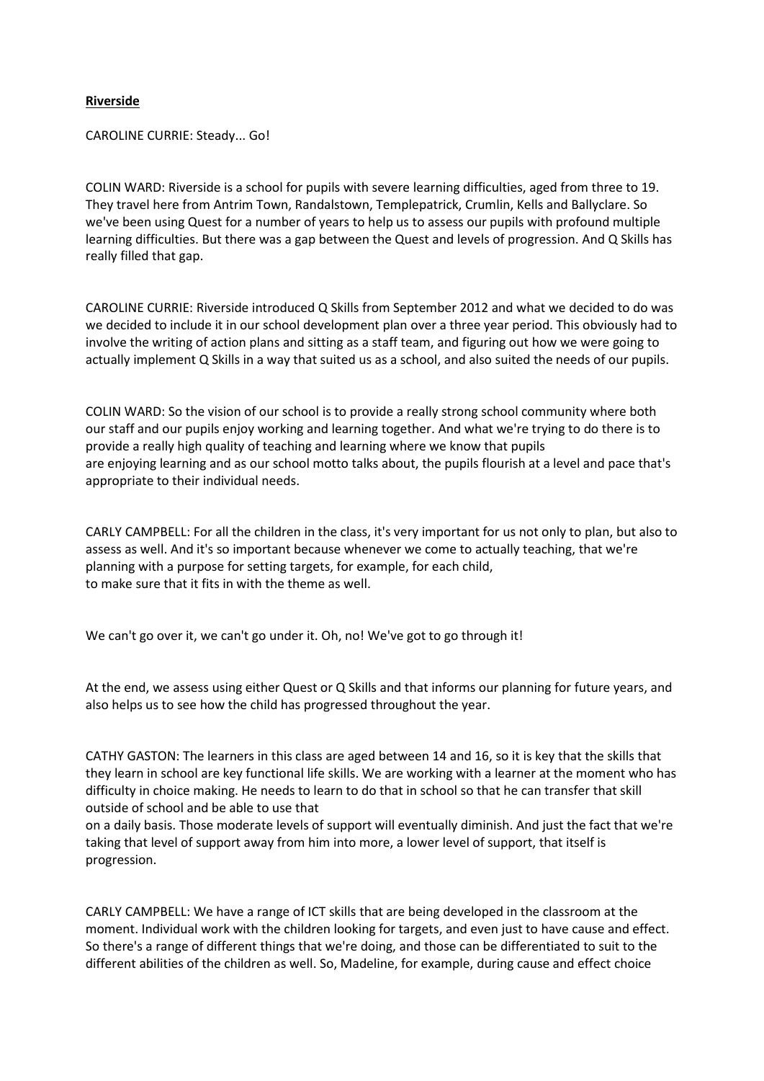## **Riverside**

CAROLINE CURRIE: Steady... Go!

COLIN WARD: Riverside is a school for pupils with severe learning difficulties, aged from three to 19. They travel here from Antrim Town, Randalstown, Templepatrick, Crumlin, Kells and Ballyclare. So we've been using Quest for a number of years to help us to assess our pupils with profound multiple learning difficulties. But there was a gap between the Quest and levels of progression. And Q Skills has really filled that gap.

CAROLINE CURRIE: Riverside introduced Q Skills from September 2012 and what we decided to do was we decided to include it in our school development plan over a three year period. This obviously had to involve the writing of action plans and sitting as a staff team, and figuring out how we were going to actually implement Q Skills in a way that suited us as a school, and also suited the needs of our pupils.

COLIN WARD: So the vision of our school is to provide a really strong school community where both our staff and our pupils enjoy working and learning together. And what we're trying to do there is to provide a really high quality of teaching and learning where we know that pupils are enjoying learning and as our school motto talks about, the pupils flourish at a level and pace that's appropriate to their individual needs.

CARLY CAMPBELL: For all the children in the class, it's very important for us not only to plan, but also to assess as well. And it's so important because whenever we come to actually teaching, that we're planning with a purpose for setting targets, for example, for each child, to make sure that it fits in with the theme as well.

We can't go over it, we can't go under it. Oh, no! We've got to go through it!

At the end, we assess using either Quest or Q Skills and that informs our planning for future years, and also helps us to see how the child has progressed throughout the year.

CATHY GASTON: The learners in this class are aged between 14 and 16, so it is key that the skills that they learn in school are key functional life skills. We are working with a learner at the moment who has difficulty in choice making. He needs to learn to do that in school so that he can transfer that skill outside of school and be able to use that

on a daily basis. Those moderate levels of support will eventually diminish. And just the fact that we're taking that level of support away from him into more, a lower level of support, that itself is progression.

CARLY CAMPBELL: We have a range of ICT skills that are being developed in the classroom at the moment. Individual work with the children looking for targets, and even just to have cause and effect. So there's a range of different things that we're doing, and those can be differentiated to suit to the different abilities of the children as well. So, Madeline, for example, during cause and effect choice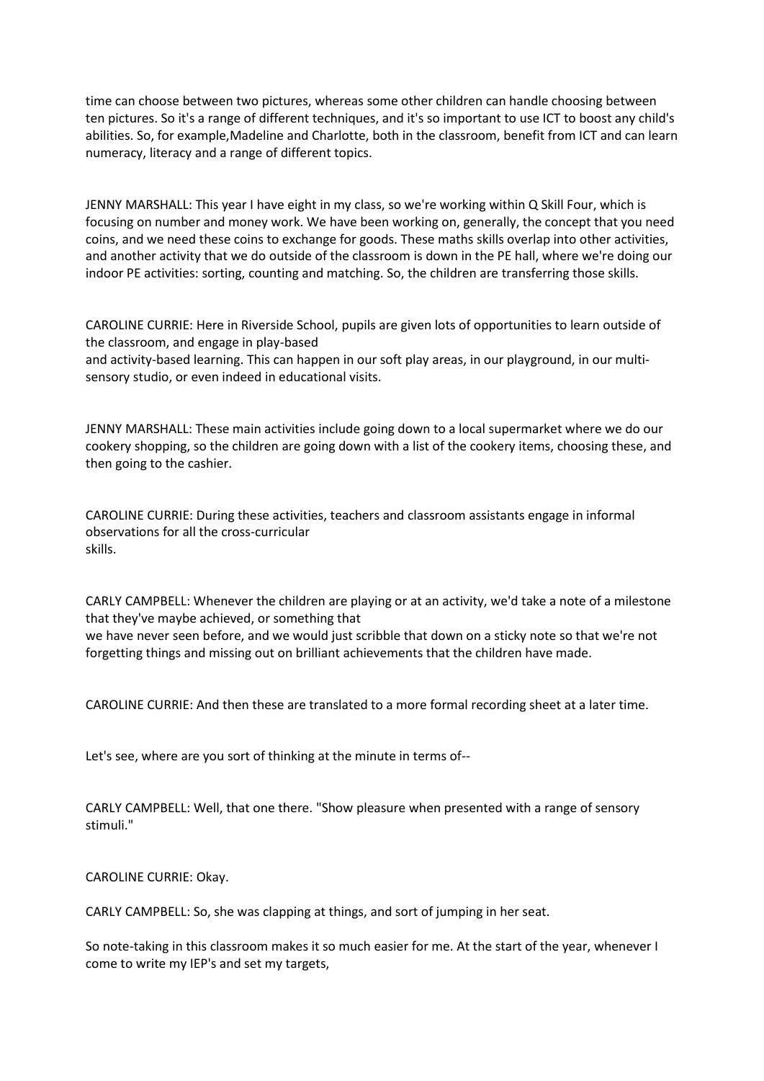time can choose between two pictures, whereas some other children can handle choosing between ten pictures. So it's a range of different techniques, and it's so important to use ICT to boost any child's abilities. So, for example,Madeline and Charlotte, both in the classroom, benefit from ICT and can learn numeracy, literacy and a range of different topics.

JENNY MARSHALL: This year I have eight in my class, so we're working within Q Skill Four, which is focusing on number and money work. We have been working on, generally, the concept that you need coins, and we need these coins to exchange for goods. These maths skills overlap into other activities, and another activity that we do outside of the classroom is down in the PE hall, where we're doing our indoor PE activities: sorting, counting and matching. So, the children are transferring those skills.

CAROLINE CURRIE: Here in Riverside School, pupils are given lots of opportunities to learn outside of the classroom, and engage in play-based and activity-based learning. This can happen in our soft play areas, in our playground, in our multisensory studio, or even indeed in educational visits.

JENNY MARSHALL: These main activities include going down to a local supermarket where we do our cookery shopping, so the children are going down with a list of the cookery items, choosing these, and then going to the cashier.

CAROLINE CURRIE: During these activities, teachers and classroom assistants engage in informal observations for all the cross-curricular skills.

CARLY CAMPBELL: Whenever the children are playing or at an activity, we'd take a note of a milestone that they've maybe achieved, or something that

we have never seen before, and we would just scribble that down on a sticky note so that we're not forgetting things and missing out on brilliant achievements that the children have made.

CAROLINE CURRIE: And then these are translated to a more formal recording sheet at a later time.

Let's see, where are you sort of thinking at the minute in terms of--

CARLY CAMPBELL: Well, that one there. "Show pleasure when presented with a range of sensory stimuli."

CAROLINE CURRIE: Okay.

CARLY CAMPBELL: So, she was clapping at things, and sort of jumping in her seat.

So note-taking in this classroom makes it so much easier for me. At the start of the year, whenever I come to write my IEP's and set my targets,